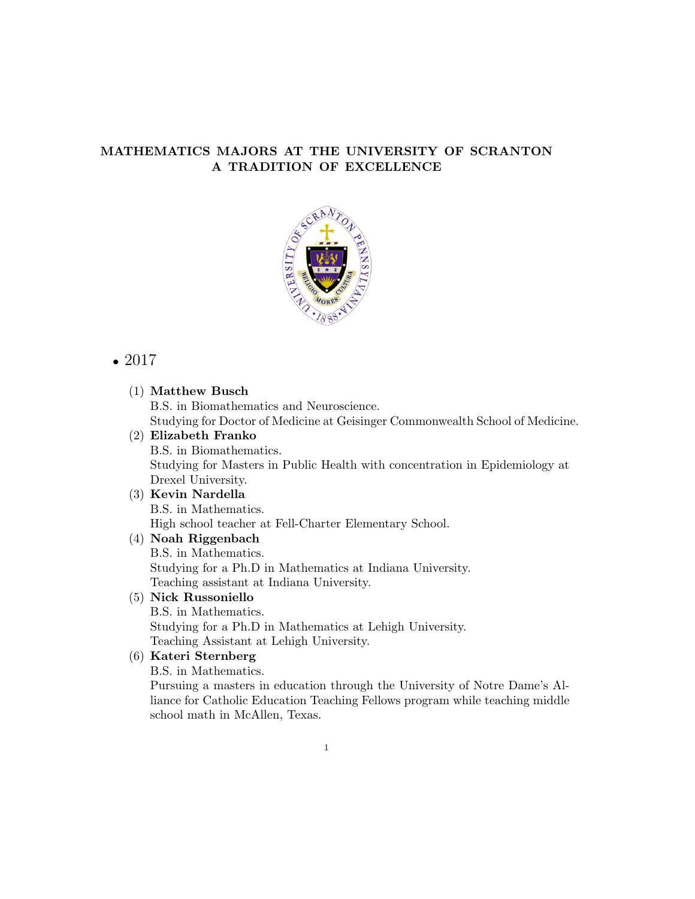### MATHEMATICS MAJORS AT THE UNIVERSITY OF SCRANTON A TRADITION OF EXCELLENCE



# *•* 2017

### (1) Matthew Busch B.S. in Biomathematics and Neuroscience. Studying for Doctor of Medicine at Geisinger Commonwealth School of Medicine.

## (2) Elizabeth Franko

B.S. in Biomathematics. Studying for Masters in Public Health with concentration in Epidemiology at Drexel University.

#### (3) Kevin Nardella B.S. in Mathematics.

High school teacher at Fell-Charter Elementary School.

#### (4) Noah Riggenbach B.S. in Mathematics. Studying for a Ph.D in Mathematics at Indiana University.

Teaching assistant at Indiana University.

### (5) Nick Russoniello

B.S. in Mathematics. Studying for a Ph.D in Mathematics at Lehigh University. Teaching Assistant at Lehigh University.

### (6) Kateri Sternberg

B.S. in Mathematics.

Pursuing a masters in education through the University of Notre Dame's Alliance for Catholic Education Teaching Fellows program while teaching middle school math in McAllen, Texas.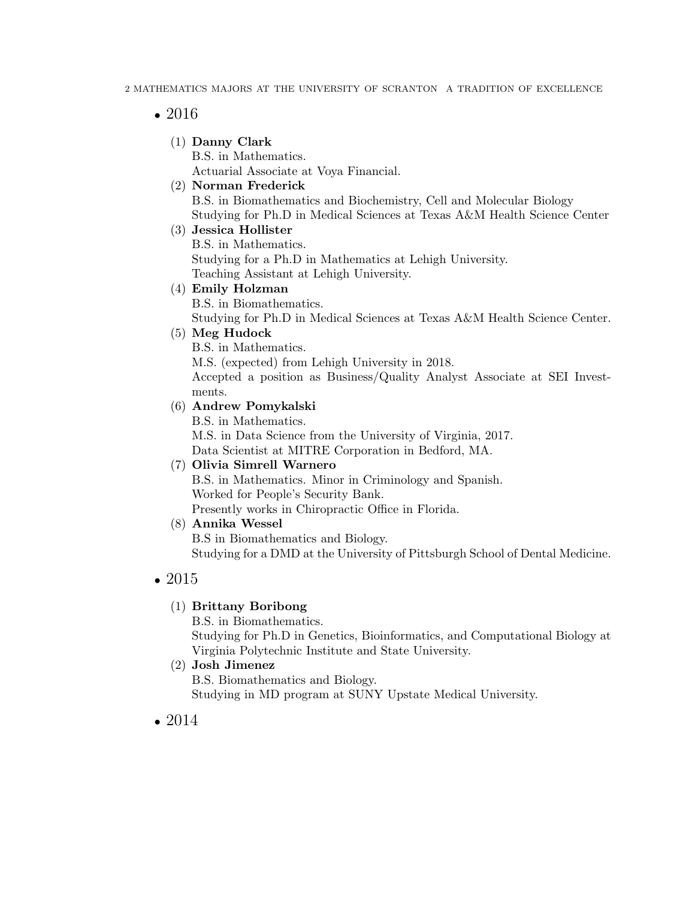## *•* 2016

(1) Danny Clark

B.S. in Mathematics. Actuarial Associate at Voya Financial.

## (2) Norman Frederick

B.S. in Biomathematics and Biochemistry, Cell and Molecular Biology Studying for Ph.D in Medical Sciences at Texas A&M Health Science Center

### (3) Jessica Hollister

B.S. in Mathematics. Studying for a Ph.D in Mathematics at Lehigh University. Teaching Assistant at Lehigh University.

### (4) Emily Holzman

B.S. in Biomathematics.

Studying for Ph.D in Medical Sciences at Texas A&M Health Science Center.

### (5) Meg Hudock

B.S. in Mathematics.

M.S. (expected) from Lehigh University in 2018.

Accepted a position as Business/Quality Analyst Associate at SEI Investments.

### (6) Andrew Pomykalski

B.S. in Mathematics. M.S. in Data Science from the University of Virginia, 2017. Data Scientist at MITRE Corporation in Bedford, MA.

### (7) Olivia Simrell Warnero

B.S. in Mathematics. Minor in Criminology and Spanish. Worked for People's Security Bank. Presently works in Chiropractic Office in Florida.

### (8) Annika Wessel

B.S in Biomathematics and Biology. Studying for a DMD at the University of Pittsburgh School of Dental Medicine.

# *•* 2015

### (1) Brittany Boribong

B.S. in Biomathematics.

Studying for Ph.D in Genetics, Bioinformatics, and Computational Biology at Virginia Polytechnic Institute and State University.

### (2) Josh Jimenez

B.S. Biomathematics and Biology. Studying in MD program at SUNY Upstate Medical University.

# *•* 2014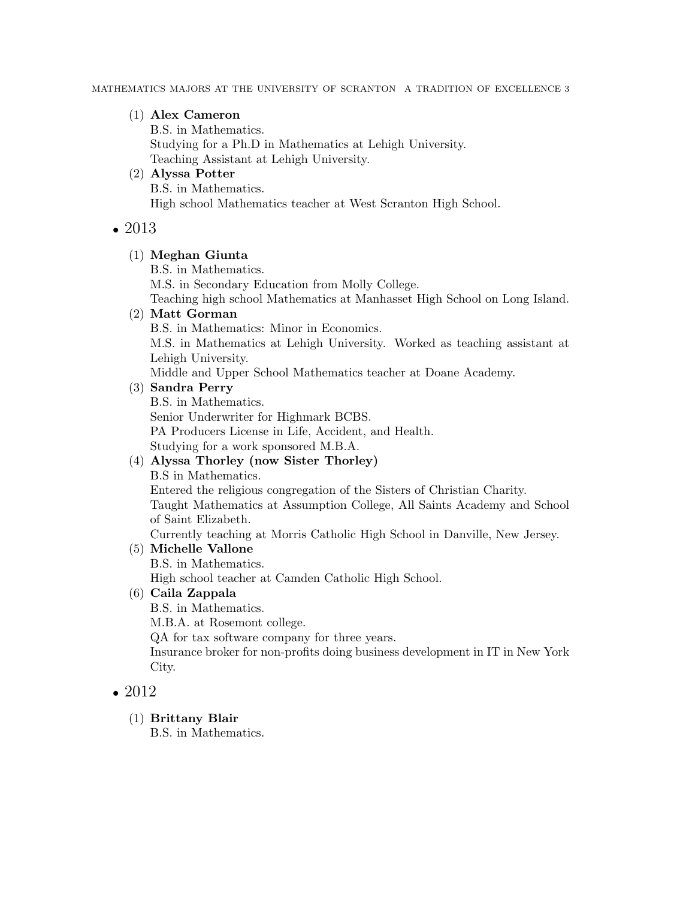### (1) Alex Cameron

B.S. in Mathematics. Studying for a Ph.D in Mathematics at Lehigh University. Teaching Assistant at Lehigh University.

(2) Alyssa Potter B.S. in Mathematics. High school Mathematics teacher at West Scranton High School.

### *•* 2013

### (1) Meghan Giunta

B.S. in Mathematics.

M.S. in Secondary Education from Molly College.

Teaching high school Mathematics at Manhasset High School on Long Island.

### (2) Matt Gorman

B.S. in Mathematics: Minor in Economics.

M.S. in Mathematics at Lehigh University. Worked as teaching assistant at Lehigh University.

Middle and Upper School Mathematics teacher at Doane Academy.

### (3) Sandra Perry

B.S. in Mathematics. Senior Underwriter for Highmark BCBS. PA Producers License in Life, Accident, and Health. Studying for a work sponsored M.B.A.

# (4) Alyssa Thorley (now Sister Thorley)

B.S in Mathematics.

Entered the religious congregation of the Sisters of Christian Charity. Taught Mathematics at Assumption College, All Saints Academy and School of Saint Elizabeth.

Currently teaching at Morris Catholic High School in Danville, New Jersey.

### (5) Michelle Vallone

B.S. in Mathematics.

High school teacher at Camden Catholic High School.

## (6) Caila Zappala

B.S. in Mathematics.

M.B.A. at Rosemont college.

QA for tax software company for three years.

Insurance broker for non-profits doing business development in IT in New York City.

# *•* 2012

(1) Brittany Blair

B.S. in Mathematics.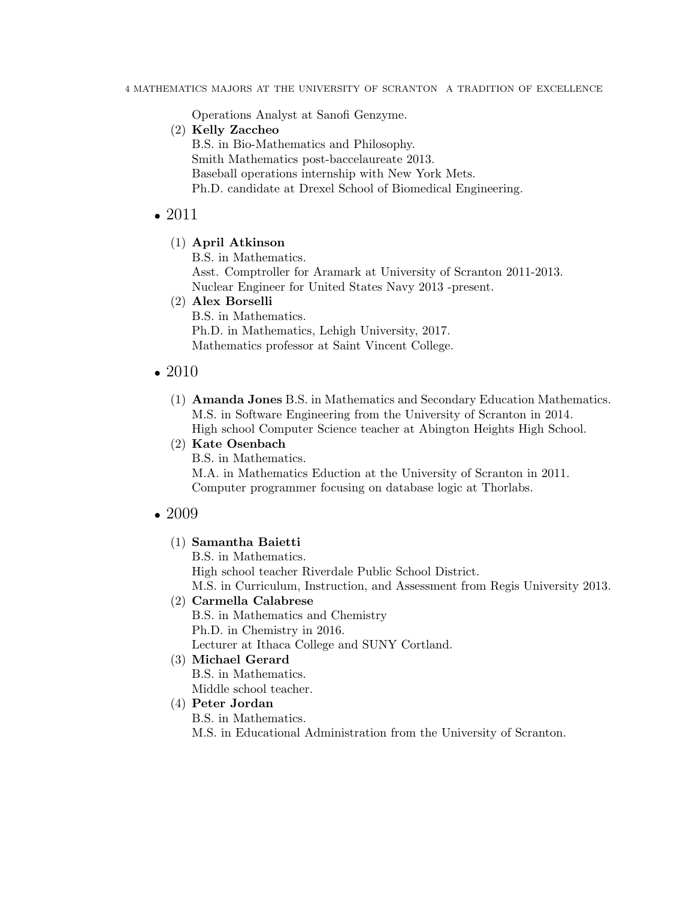Operations Analyst at Sanofi Genzyme.

- (2) Kelly Zaccheo
	- B.S. in Bio-Mathematics and Philosophy. Smith Mathematics post-baccelaureate 2013. Baseball operations internship with New York Mets. Ph.D. candidate at Drexel School of Biomedical Engineering.

### *•* 2011

(1) April Atkinson

B.S. in Mathematics.

Asst. Comptroller for Aramark at University of Scranton 2011-2013. Nuclear Engineer for United States Navy 2013 -present.

#### (2) Alex Borselli

B.S. in Mathematics. Ph.D. in Mathematics, Lehigh University, 2017. Mathematics professor at Saint Vincent College.

### *•* 2010

(1) Amanda Jones B.S. in Mathematics and Secondary Education Mathematics. M.S. in Software Engineering from the University of Scranton in 2014.

High school Computer Science teacher at Abington Heights High School.

(2) Kate Osenbach

B.S. in Mathematics. M.A. in Mathematics Eduction at the University of Scranton in 2011. Computer programmer focusing on database logic at Thorlabs.

### *•* 2009

(1) Samantha Baietti

B.S. in Mathematics. High school teacher Riverdale Public School District. M.S. in Curriculum, Instruction, and Assessment from Regis University 2013.

#### (2) Carmella Calabrese

B.S. in Mathematics and Chemistry Ph.D. in Chemistry in 2016. Lecturer at Ithaca College and SUNY Cortland.

### (3) Michael Gerard

B.S. in Mathematics. Middle school teacher.

#### (4) Peter Jordan

B.S. in Mathematics.

M.S. in Educational Administration from the University of Scranton.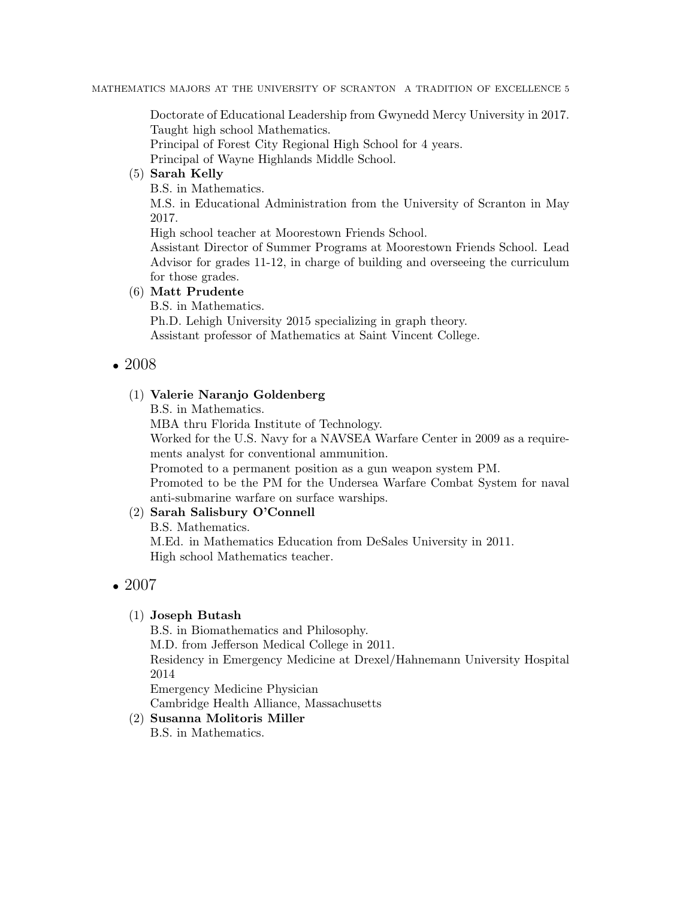MATHEMATICS MAJORS AT THE UNIVERSITY OF SCRANTON A TRADITION OF EXCELLENCE 5

Doctorate of Educational Leadership from Gwynedd Mercy University in 2017. Taught high school Mathematics.

Principal of Forest City Regional High School for 4 years.

Principal of Wayne Highlands Middle School.

### (5) Sarah Kelly

B.S. in Mathematics.

M.S. in Educational Administration from the University of Scranton in May 2017.

High school teacher at Moorestown Friends School.

Assistant Director of Summer Programs at Moorestown Friends School. Lead Advisor for grades 11-12, in charge of building and overseeing the curriculum for those grades.

### (6) Matt Prudente

B.S. in Mathematics.

Ph.D. Lehigh University 2015 specializing in graph theory. Assistant professor of Mathematics at Saint Vincent College.

*•* 2008

### (1) Valerie Naranjo Goldenberg

B.S. in Mathematics.

MBA thru Florida Institute of Technology.

Worked for the U.S. Navy for a NAVSEA Warfare Center in 2009 as a requirements analyst for conventional ammunition.

Promoted to a permanent position as a gun weapon system PM.

Promoted to be the PM for the Undersea Warfare Combat System for naval anti-submarine warfare on surface warships.

### (2) Sarah Salisbury O'Connell

B.S. Mathematics. M.Ed. in Mathematics Education from DeSales University in 2011. High school Mathematics teacher.

# *•* 2007

### (1) Joseph Butash

B.S. in Biomathematics and Philosophy. M.D. from Jefferson Medical College in 2011. Residency in Emergency Medicine at Drexel/Hahnemann University Hospital 2014 Emergency Medicine Physician

#### Cambridge Health Alliance, Massachusetts (2) Susanna Molitoris Miller

B.S. in Mathematics.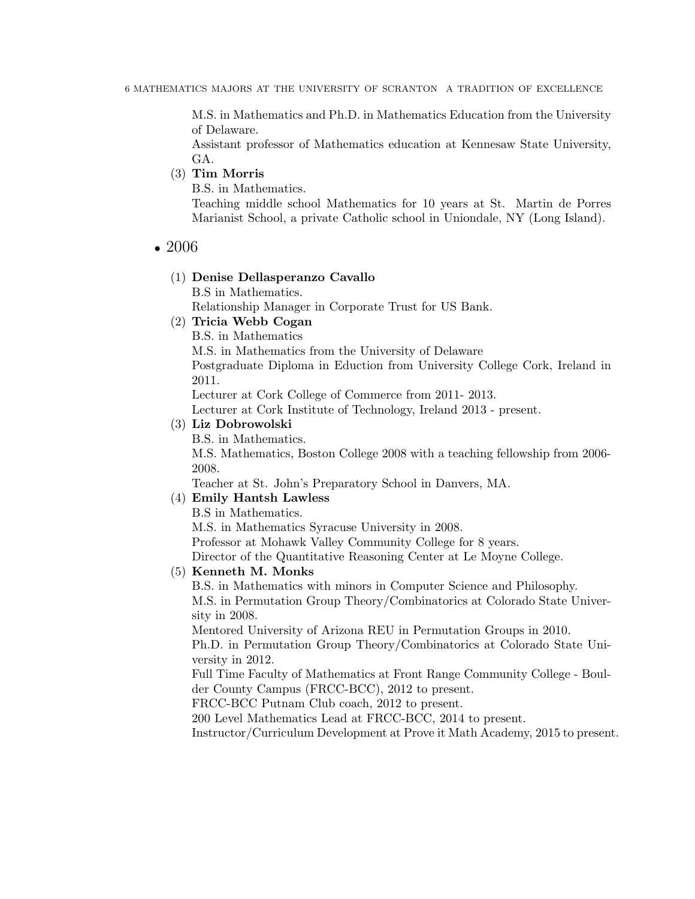M.S. in Mathematics and Ph.D. in Mathematics Education from the University of Delaware.

Assistant professor of Mathematics education at Kennesaw State University, GA.

#### (3) Tim Morris

B.S. in Mathematics.

Teaching middle school Mathematics for 10 years at St. Martin de Porres Marianist School, a private Catholic school in Uniondale, NY (Long Island).

#### *•* 2006

## (1) Denise Dellasperanzo Cavallo

B.S in Mathematics.

Relationship Manager in Corporate Trust for US Bank.

#### (2) Tricia Webb Cogan

B.S. in Mathematics

M.S. in Mathematics from the University of Delaware

Postgraduate Diploma in Eduction from University College Cork, Ireland in 2011.

Lecturer at Cork College of Commerce from 2011- 2013.

Lecturer at Cork Institute of Technology, Ireland 2013 - present.

#### (3) Liz Dobrowolski

B.S. in Mathematics.

M.S. Mathematics, Boston College 2008 with a teaching fellowship from 2006- 2008.

Teacher at St. John's Preparatory School in Danvers, MA.

#### (4) Emily Hantsh Lawless

B.S in Mathematics. M.S. in Mathematics Syracuse University in 2008. Professor at Mohawk Valley Community College for 8 years. Director of the Quantitative Reasoning Center at Le Moyne College.

#### (5) Kenneth M. Monks

B.S. in Mathematics with minors in Computer Science and Philosophy. M.S. in Permutation Group Theory/Combinatorics at Colorado State University in 2008.

Mentored University of Arizona REU in Permutation Groups in 2010.

Ph.D. in Permutation Group Theory/Combinatorics at Colorado State University in 2012.

Full Time Faculty of Mathematics at Front Range Community College - Boulder County Campus (FRCC-BCC), 2012 to present.

FRCC-BCC Putnam Club coach, 2012 to present.

200 Level Mathematics Lead at FRCC-BCC, 2014 to present.

Instructor/Curriculum Development at Prove it Math Academy, 2015 to present.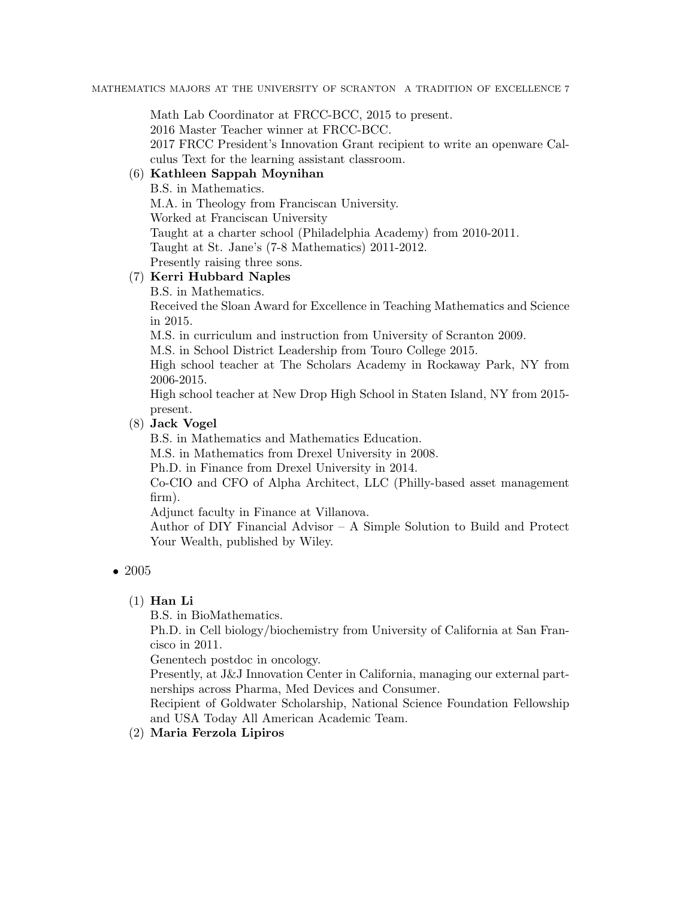Math Lab Coordinator at FRCC-BCC, 2015 to present.

2016 Master Teacher winner at FRCC-BCC.

2017 FRCC President's Innovation Grant recipient to write an openware Calculus Text for the learning assistant classroom.

# (6) Kathleen Sappah Moynihan

B.S. in Mathematics. M.A. in Theology from Franciscan University. Worked at Franciscan University Taught at a charter school (Philadelphia Academy) from 2010-2011. Taught at St. Jane's (7-8 Mathematics) 2011-2012. Presently raising three sons.

### (7) Kerri Hubbard Naples

B.S. in Mathematics.

Received the Sloan Award for Excellence in Teaching Mathematics and Science in 2015.

M.S. in curriculum and instruction from University of Scranton 2009.

M.S. in School District Leadership from Touro College 2015.

High school teacher at The Scholars Academy in Rockaway Park, NY from 2006-2015.

High school teacher at New Drop High School in Staten Island, NY from 2015 present.

### (8) Jack Vogel

B.S. in Mathematics and Mathematics Education.

M.S. in Mathematics from Drexel University in 2008.

Ph.D. in Finance from Drexel University in 2014.

Co-CIO and CFO of Alpha Architect, LLC (Philly-based asset management firm).

Adjunct faculty in Finance at Villanova.

Author of DIY Financial Advisor – A Simple Solution to Build and Protect Your Wealth, published by Wiley.

### *•* 2005

### $(1)$  Han Li

B.S. in BioMathematics.

Ph.D. in Cell biology/biochemistry from University of California at San Francisco in 2011.

Genentech postdoc in oncology.

Presently, at J&J Innovation Center in California, managing our external partnerships across Pharma, Med Devices and Consumer.

Recipient of Goldwater Scholarship, National Science Foundation Fellowship and USA Today All American Academic Team.

(2) Maria Ferzola Lipiros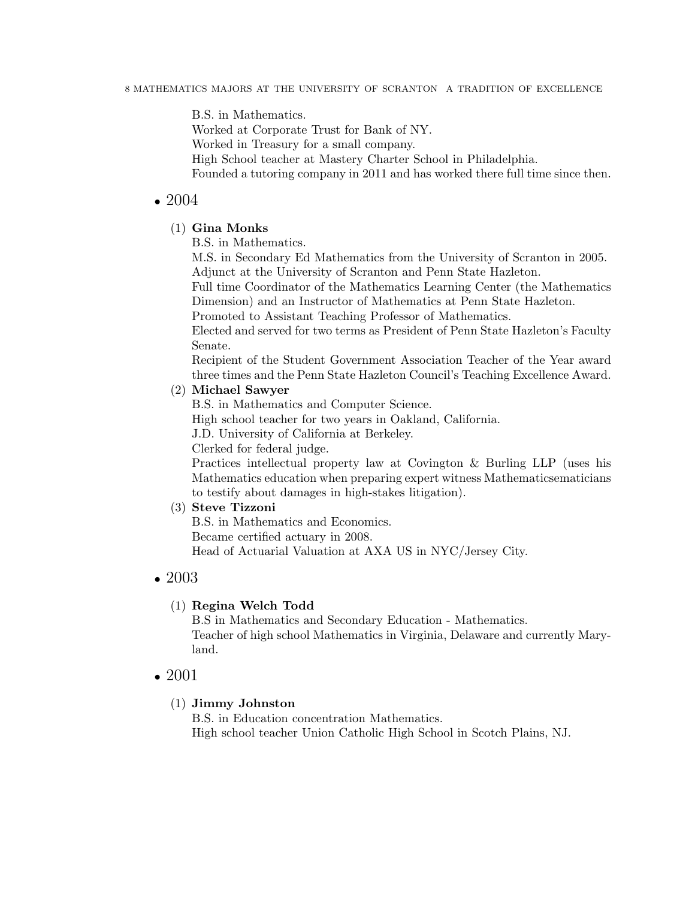B.S. in Mathematics.

Worked at Corporate Trust for Bank of NY.

Worked in Treasury for a small company.

High School teacher at Mastery Charter School in Philadelphia.

Founded a tutoring company in 2011 and has worked there full time since then.

### *•* 2004

### (1) Gina Monks

B.S. in Mathematics.

M.S. in Secondary Ed Mathematics from the University of Scranton in 2005. Adjunct at the University of Scranton and Penn State Hazleton.

Full time Coordinator of the Mathematics Learning Center (the Mathematics Dimension) and an Instructor of Mathematics at Penn State Hazleton.

Promoted to Assistant Teaching Professor of Mathematics.

Elected and served for two terms as President of Penn State Hazleton's Faculty Senate.

Recipient of the Student Government Association Teacher of the Year award three times and the Penn State Hazleton Council's Teaching Excellence Award.

### (2) Michael Sawyer

B.S. in Mathematics and Computer Science.

High school teacher for two years in Oakland, California.

J.D. University of California at Berkeley.

Clerked for federal judge.

Practices intellectual property law at Covington & Burling LLP (uses his Mathematics education when preparing expert witness Mathematicsematicians to testify about damages in high-stakes litigation).

### (3) Steve Tizzoni

B.S. in Mathematics and Economics.

Became certified actuary in 2008.

Head of Actuarial Valuation at AXA US in NYC/Jersey City.

### *•* 2003

### (1) Regina Welch Todd

B.S in Mathematics and Secondary Education - Mathematics. Teacher of high school Mathematics in Virginia, Delaware and currently Maryland.

# *•* 2001

### (1) Jimmy Johnston

B.S. in Education concentration Mathematics. High school teacher Union Catholic High School in Scotch Plains, NJ.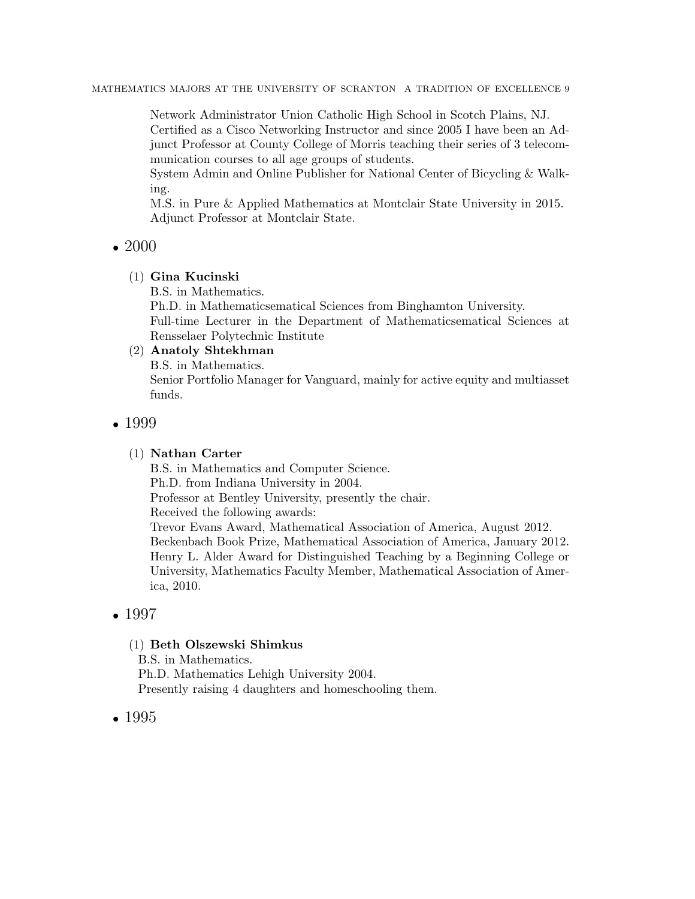MATHEMATICS MAJORS AT THE UNIVERSITY OF SCRANTON A TRADITION OF EXCELLENCE 9

Network Administrator Union Catholic High School in Scotch Plains, NJ.

Certified as a Cisco Networking Instructor and since 2005 I have been an Adjunct Professor at County College of Morris teaching their series of 3 telecommunication courses to all age groups of students.

System Admin and Online Publisher for National Center of Bicycling & Walking.

M.S. in Pure & Applied Mathematics at Montclair State University in 2015. Adjunct Professor at Montclair State.

## *•* 2000

### (1) Gina Kucinski

B.S. in Mathematics.

Ph.D. in Mathematicsematical Sciences from Binghamton University. Full-time Lecturer in the Department of Mathematicsematical Sciences at Rensselaer Polytechnic Institute

### (2) Anatoly Shtekhman

B.S. in Mathematics.

Senior Portfolio Manager for Vanguard, mainly for active equity and multiasset funds.

### *•* 1999

### (1) Nathan Carter

B.S. in Mathematics and Computer Science. Ph.D. from Indiana University in 2004. Professor at Bentley University, presently the chair. Received the following awards: Trevor Evans Award, Mathematical Association of America, August 2012. Beckenbach Book Prize, Mathematical Association of America, January 2012. Henry L. Alder Award for Distinguished Teaching by a Beginning College or University, Mathematics Faculty Member, Mathematical Association of America, 2010.

# *•* 1997

### (1) Beth Olszewski Shimkus

B.S. in Mathematics. Ph.D. Mathematics Lehigh University 2004. Presently raising 4 daughters and homeschooling them.

# *•* 1995